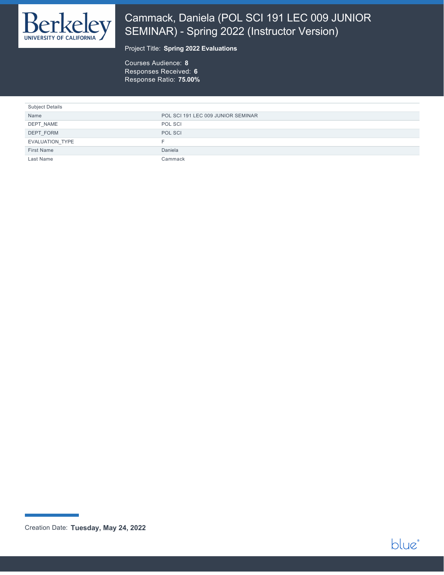

# Cammack, Daniela (POL SCI 191 LEC 009 JUNIOR SEMINAR) - Spring 2022 (Instructor Version)

#### Project Title: **Spring 2022 Evaluations**

Courses Audience: **8** Responses Received: **6** Response Ratio: **75.00%**

| <b>Subject Details</b> |                                    |
|------------------------|------------------------------------|
| Name                   | POL SCI 191 LEC 009 JUNIOR SEMINAR |
| DEPT NAME              | POL SCI                            |
| DEPT FORM              | POL SCI                            |
| <b>EVALUATION TYPE</b> | н.                                 |
| <b>First Name</b>      | Daniela                            |
| Last Name              | Cammack                            |



Creation Date: **Tuesday, May 24, 2022**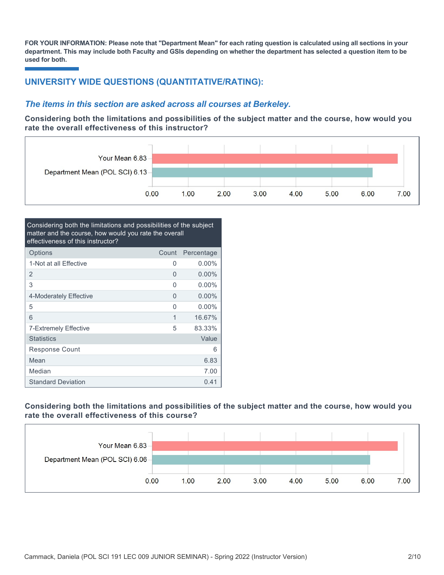**FOR YOUR INFORMATION: Please note that "Department Mean" for each rating question is calculated using all sections in your department. This may include both Faculty and GSIs depending on whether the department has selected a question item to be used for both.**

## **UNIVERSITY WIDE QUESTIONS (QUANTITATIVE/RATING):**

### *The items in this section are asked across all courses at Berkeley.*

**Considering both the limitations and possibilities of the subject matter and the course, how would you rate the overall effectiveness of this instructor?**



| Considering both the limitations and possibilities of the subject<br>matter and the course, how would you rate the overall<br>effectiveness of this instructor? |       |            |
|-----------------------------------------------------------------------------------------------------------------------------------------------------------------|-------|------------|
| Options                                                                                                                                                         | Count | Percentage |
| 1-Not at all Effective                                                                                                                                          | 0     | $0.00\%$   |
| 2                                                                                                                                                               | 0     | $0.00\%$   |
| 3                                                                                                                                                               | O     | $0.00\%$   |
| 4-Moderately Effective                                                                                                                                          | 0     | $0.00\%$   |
| 5                                                                                                                                                               | 0     | $0.00\%$   |
| 6                                                                                                                                                               | 1     | 16.67%     |
| 7-Extremely Effective                                                                                                                                           | 5     | 83.33%     |
| <b>Statistics</b>                                                                                                                                               |       | Value      |
| Response Count                                                                                                                                                  |       | 6          |
| Mean                                                                                                                                                            |       | 6.83       |
| Median                                                                                                                                                          |       | 7.00       |
| <b>Standard Deviation</b>                                                                                                                                       |       | 0.41       |

### **Considering both the limitations and possibilities of the subject matter and the course, how would you rate the overall effectiveness of this course?**

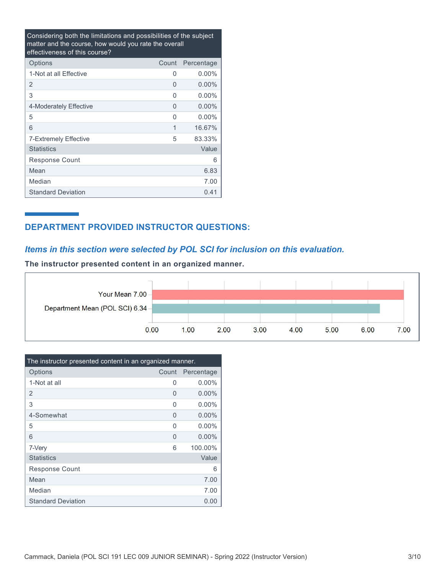Considering both the limitations and possibilities of the subject matter and the course, how would you rate the overall effectiveness of this course?

| Options                   | Count | Percentage |
|---------------------------|-------|------------|
| 1-Not at all Effective    | U     | $0.00\%$   |
| 2                         | 0     | $0.00\%$   |
| 3                         | 0     | $0.00\%$   |
| 4-Moderately Effective    | O     | $0.00\%$   |
| 5                         | U     | $0.00\%$   |
| 6                         | 1     | 16.67%     |
| 7-Extremely Effective     | 5     | 83.33%     |
| <b>Statistics</b>         |       | Value      |
| Response Count            |       | 6          |
| Mean                      |       | 6.83       |
| Median                    |       | 7.00       |
| <b>Standard Deviation</b> |       | 0.41       |

## **DEPARTMENT PROVIDED INSTRUCTOR QUESTIONS:**

## *Items in this section were selected by POL SCI for inclusion on this evaluation.*

**The instructor presented content in an organized manner.**



| The instructor presented content in an organized manner. |          |            |
|----------------------------------------------------------|----------|------------|
| Options                                                  | Count    | Percentage |
| 1-Not at all                                             | 0        | $0.00\%$   |
| 2                                                        | 0        | $0.00\%$   |
| 3                                                        | O        | $0.00\%$   |
| 4-Somewhat                                               | 0        | $0.00\%$   |
| 5                                                        | $\Omega$ | $0.00\%$   |
| 6                                                        | 0        | $0.00\%$   |
| 7-Very                                                   | 6        | 100.00%    |
| <b>Statistics</b>                                        |          | Value      |
| <b>Response Count</b>                                    |          | 6          |
| Mean                                                     |          | 7.00       |
| Median                                                   |          | 7.00       |
| <b>Standard Deviation</b>                                |          | 0.00       |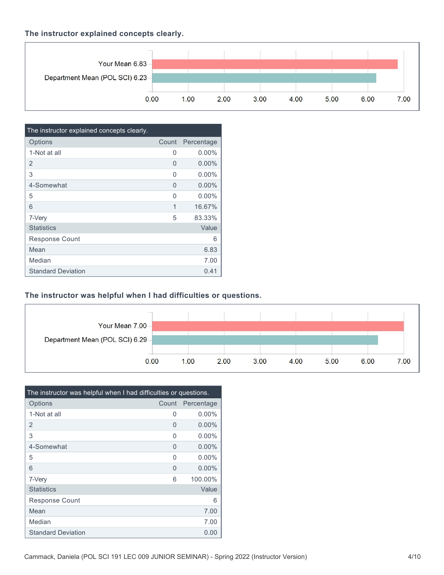### **The instructor explained concepts clearly.**



| The instructor explained concepts clearly. |       |            |
|--------------------------------------------|-------|------------|
| Options                                    | Count | Percentage |
| 1-Not at all                               | 0     | $0.00\%$   |
| $\overline{2}$                             | 0     | $0.00\%$   |
| 3                                          | O     | $0.00\%$   |
| 4-Somewhat                                 | 0     | $0.00\%$   |
| 5                                          | U     | $0.00\%$   |
| 6                                          | 1     | 16.67%     |
| 7-Very                                     | 5     | 83.33%     |
| <b>Statistics</b>                          |       | Value      |
| <b>Response Count</b>                      |       | 6          |
| Mean                                       |       | 6.83       |
| Median                                     |       | 7.00       |
| <b>Standard Deviation</b>                  |       | 0.41       |

### **The instructor was helpful when I had difficulties or questions.**



| The instructor was helpful when I had difficulties or questions. |          |            |
|------------------------------------------------------------------|----------|------------|
| Options                                                          | Count    | Percentage |
| 1-Not at all                                                     | 0        | $0.00\%$   |
| $\overline{2}$                                                   | 0        | $0.00\%$   |
| 3                                                                | $\Omega$ | $0.00\%$   |
| 4-Somewhat                                                       | 0        | $0.00\%$   |
| 5                                                                | $\Omega$ | $0.00\%$   |
| 6                                                                | 0        | $0.00\%$   |
| 7-Very                                                           | 6        | 100.00%    |
| <b>Statistics</b>                                                |          | Value      |
| <b>Response Count</b>                                            |          | 6          |
| Mean                                                             |          | 7.00       |
| Median                                                           |          | 7.00       |
| <b>Standard Deviation</b>                                        |          | 0.00       |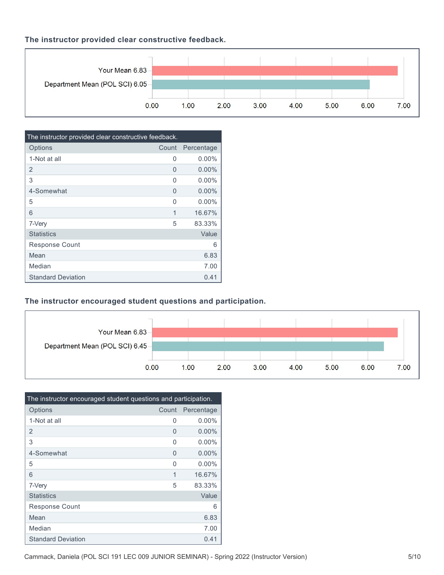### **The instructor provided clear constructive feedback.**



| The instructor provided clear constructive feedback. |       |            |
|------------------------------------------------------|-------|------------|
| Options                                              | Count | Percentage |
| 1-Not at all                                         | 0     | $0.00\%$   |
| 2                                                    | O     | $0.00\%$   |
| 3                                                    | O     | $0.00\%$   |
| 4-Somewhat                                           | 0     | $0.00\%$   |
| 5                                                    | U     | $0.00\%$   |
| 6                                                    | 1     | 16.67%     |
| 7-Very                                               | 5     | 83.33%     |
| <b>Statistics</b>                                    |       | Value      |
| <b>Response Count</b>                                |       | 6          |
| Mean                                                 |       | 6.83       |
| Median                                               |       | 7.00       |
| <b>Standard Deviation</b>                            |       | 0.41       |

## **The instructor encouraged student questions and participation.**



| The instructor encouraged student questions and participation. |       |            |
|----------------------------------------------------------------|-------|------------|
| Options                                                        | Count | Percentage |
| 1-Not at all                                                   | 0     | $0.00\%$   |
| $\overline{2}$                                                 | 0     | $0.00\%$   |
| 3                                                              | O     | $0.00\%$   |
| 4-Somewhat                                                     | 0     | $0.00\%$   |
| 5                                                              | O     | $0.00\%$   |
| 6                                                              | 1     | 16.67%     |
| 7-Very                                                         | 5     | 83.33%     |
| <b>Statistics</b>                                              |       | Value      |
| <b>Response Count</b>                                          |       | 6          |
| Mean                                                           |       | 6.83       |
| Median                                                         |       | 7.00       |
| <b>Standard Deviation</b>                                      |       | 0.41       |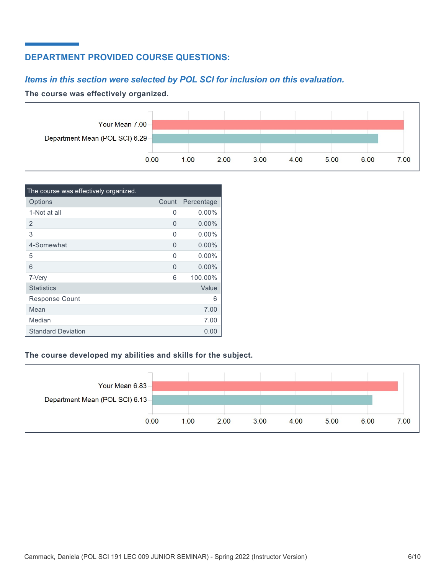## **DEPARTMENT PROVIDED COURSE QUESTIONS:**

## *Items in this section were selected by POL SCI for inclusion on this evaluation.*

#### **The course was effectively organized.**



| The course was effectively organized. |       |            |
|---------------------------------------|-------|------------|
| Options                               | Count | Percentage |
| 1-Not at all                          | 0     | $0.00\%$   |
| 2                                     | 0     | $0.00\%$   |
| 3                                     | 0     | $0.00\%$   |
| 4-Somewhat                            | 0     | $0.00\%$   |
| 5                                     | O     | $0.00\%$   |
| 6                                     | 0     | $0.00\%$   |
| 7-Very                                | 6     | 100.00%    |
| <b>Statistics</b>                     |       | Value      |
| <b>Response Count</b>                 |       | 6          |
| Mean                                  |       | 7.00       |
| Median                                |       | 7.00       |
| <b>Standard Deviation</b>             |       | 0.00       |

### **The course developed my abilities and skills for the subject.**

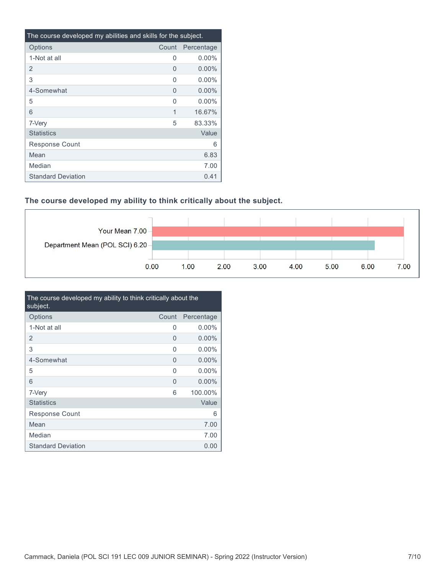| The course developed my abilities and skills for the subject. |       |            |
|---------------------------------------------------------------|-------|------------|
| Options                                                       | Count | Percentage |
| 1-Not at all                                                  | 0     | $0.00\%$   |
| 2                                                             | 0     | $0.00\%$   |
| 3                                                             | O     | $0.00\%$   |
| 4-Somewhat                                                    | 0     | $0.00\%$   |
| 5                                                             | U     | $0.00\%$   |
| 6                                                             | 1     | 16.67%     |
| 7-Very                                                        | 5     | 83.33%     |
| <b>Statistics</b>                                             |       | Value      |
| Response Count                                                |       | 6          |
| Mean                                                          |       | 6.83       |
| Median                                                        |       | 7.00       |
| <b>Standard Deviation</b>                                     |       | 0.41       |

### **The course developed my ability to think critically about the subject.**



| The course developed my ability to think critically about the<br>subject. |       |            |
|---------------------------------------------------------------------------|-------|------------|
| Options                                                                   | Count | Percentage |
| 1-Not at all                                                              | 0     | $0.00\%$   |
| 2                                                                         | 0     | $0.00\%$   |
| 3                                                                         | O     | $0.00\%$   |
| 4-Somewhat                                                                | 0     | $0.00\%$   |
| 5                                                                         | O     | $0.00\%$   |
| 6                                                                         | 0     | $0.00\%$   |
| 7-Very                                                                    | 6     | 100.00%    |
| <b>Statistics</b>                                                         |       | Value      |
| Response Count                                                            |       | 6          |
| Mean                                                                      |       | 7.00       |
| Median                                                                    |       | 7.00       |
| <b>Standard Deviation</b>                                                 |       | 0.00       |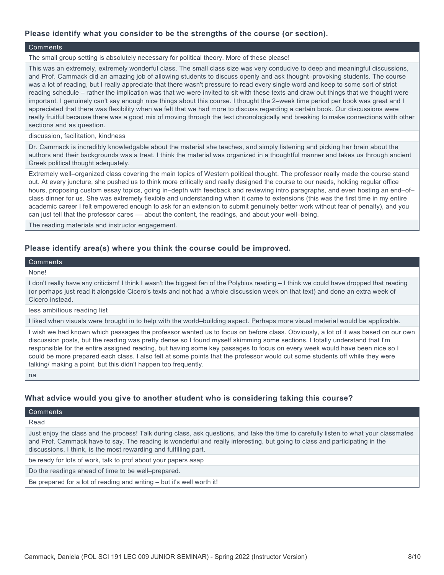#### **Please identify what you consider to be the strengths of the course (or section).**

#### Comments

The small group setting is absolutely necessary for political theory. More of these please!

This was an extremely, extremely wonderful class. The small class size was very conducive to deep and meaningful discussions, and Prof. Cammack did an amazing job of allowing students to discuss openly and ask thought–provoking students. The course was a lot of reading, but I really appreciate that there wasn't pressure to read every single word and keep to some sort of strict reading schedule – rather the implication was that we were invited to sit with these texts and draw out things that we thought were important. I genuinely can't say enough nice things about this course. I thought the 2–week time period per book was great and I appreciated that there was flexibility when we felt that we had more to discuss regarding a certain book. Our discussions were really fruitful because there was a good mix of moving through the text chronologically and breaking to make connections witth other sections and as question.

discussion, facilitation, kindness

Dr. Cammack is incredibly knowledgable about the material she teaches, and simply listening and picking her brain about the authors and their backgrounds was a treat. I think the material was organized in a thoughtful manner and takes us through ancient Greek political thought adequately.

Extremely well–organized class covering the main topics of Western political thought. The professor really made the course stand out. At every juncture, she pushed us to think more critically and really designed the course to our needs, holding regular office hours, proposing custom essay topics, going in–depth with feedback and reviewing intro paragraphs, and even hosting an end–of– class dinner for us. She was extremely flexible and understanding when it came to extensions (this was the first time in my entire academic career I felt empowered enough to ask for an extension to submit genuinely better work without fear of penalty), and you can just tell that the professor cares — about the content, the readings, and about your well-being.

The reading materials and instructor engagement.

#### **Please identify area(s) where you think the course could be improved.**

#### Comments

#### None!

I don't really have any criticism! I think I wasn't the biggest fan of the Polybius reading – I think we could have dropped that reading (or perhaps just read it alongside Cicero's texts and not had a whole discussion week on that text) and done an extra week of Cicero instead.

less ambitious reading list

I liked when visuals were brought in to help with the world–building aspect. Perhaps more visual material would be applicable.

I wish we had known which passages the professor wanted us to focus on before class. Obviously, a lot of it was based on our own discussion posts, but the reading was pretty dense so I found myself skimming some sections. I totally understand that I'm responsible for the entire assigned reading, but having some key passages to focus on every week would have been nice so I could be more prepared each class. I also felt at some points that the professor would cut some students off while they were talking/ making a point, but this didn't happen too frequently.

na

#### **What advice would you give to another student who is considering taking this course?**

**Comments** 

Read

Just enjoy the class and the process! Talk during class, ask questions, and take the time to carefully listen to what your classmates and Prof. Cammack have to say. The reading is wonderful and really interesting, but going to class and participating in the discussions, I think, is the most rewarding and fulfilling part.

be ready for lots of work, talk to prof about your papers asap

Do the readings ahead of time to be well–prepared.

Be prepared for a lot of reading and writing – but it's well worth it!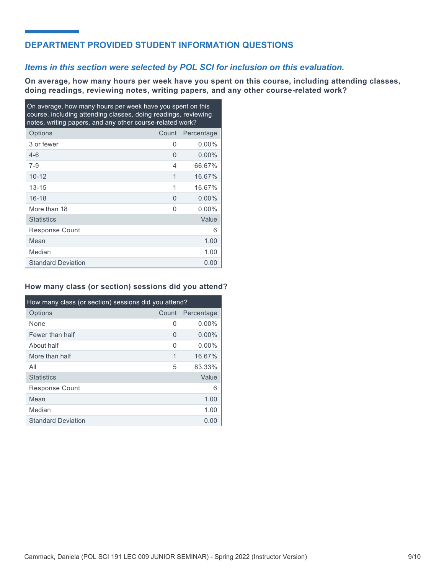## **DEPARTMENT PROVIDED STUDENT INFORMATION QUESTIONS**

### *Items in this section were selected by POL SCI for inclusion on this evaluation.*

**On average, how many hours per week have you spent on this course, including attending classes, doing readings, reviewing notes, writing papers, and any other course-related work?**

| On average, how many hours per week have you spent on this<br>course, including attending classes, doing readings, reviewing<br>notes, writing papers, and any other course-related work? |       |            |
|-------------------------------------------------------------------------------------------------------------------------------------------------------------------------------------------|-------|------------|
| Options                                                                                                                                                                                   | Count | Percentage |
| 3 or fewer                                                                                                                                                                                | U     | $0.00\%$   |
| $4 - 6$                                                                                                                                                                                   | 0     | $0.00\%$   |
| $7 - 9$                                                                                                                                                                                   | 4     | 66.67%     |
| $10 - 12$                                                                                                                                                                                 | 1     | 16.67%     |
| $13 - 15$                                                                                                                                                                                 | 1     | 16.67%     |
| $16 - 18$                                                                                                                                                                                 | 0     | $0.00\%$   |
| More than 18                                                                                                                                                                              | O     | $0.00\%$   |
| <b>Statistics</b>                                                                                                                                                                         |       | Value      |
| <b>Response Count</b>                                                                                                                                                                     |       | 6          |
| Mean                                                                                                                                                                                      |       | 1.00       |
| Median                                                                                                                                                                                    |       | 1.00       |
| <b>Standard Deviation</b>                                                                                                                                                                 |       | 0.00       |

#### **How many class (or section) sessions did you attend?**

| How many class (or section) sessions did you attend? |       |            |  |
|------------------------------------------------------|-------|------------|--|
| Options                                              | Count | Percentage |  |
| None                                                 | 0     | $0.00\%$   |  |
| Fewer than half                                      | 0     | $0.00\%$   |  |
| About half                                           | 0     | $0.00\%$   |  |
| More than half                                       | 1     | 16.67%     |  |
| All                                                  | 5     | 83.33%     |  |
| <b>Statistics</b>                                    |       | Value      |  |
| Response Count                                       |       | 6          |  |
| Mean                                                 |       | 1.00       |  |
| Median                                               |       | 1.00       |  |
| <b>Standard Deviation</b>                            |       | 0.00       |  |